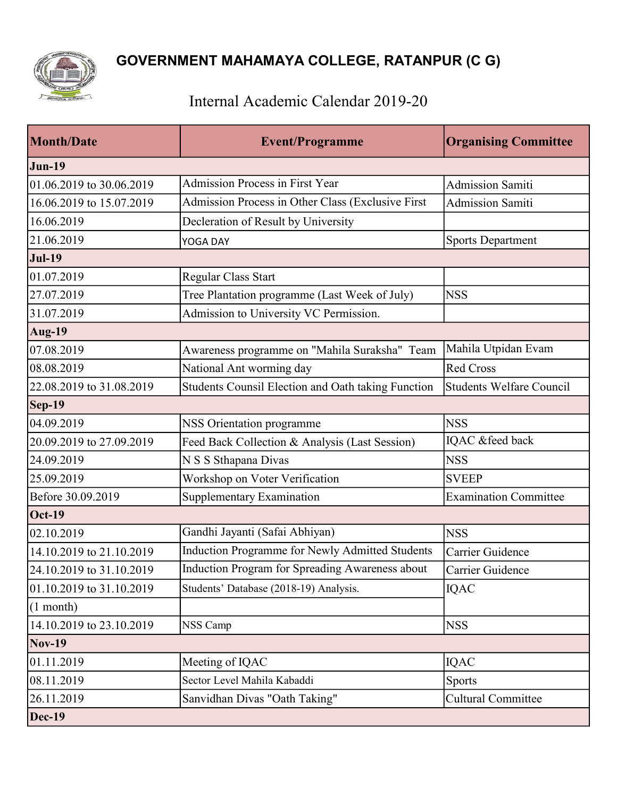

## Internal Academic Calendar 2019-20

| <b>Month/Date</b>        | <b>Event/Programme</b>                             | <b>Organising Committee</b>     |
|--------------------------|----------------------------------------------------|---------------------------------|
| <b>Jun-19</b>            |                                                    |                                 |
| 01.06.2019 to 30.06.2019 | <b>Admission Process in First Year</b>             | <b>Admission Samiti</b>         |
| 16.06.2019 to 15.07.2019 | Admission Process in Other Class (Exclusive First  | <b>Admission Samiti</b>         |
| 16.06.2019               | Decleration of Result by University                |                                 |
| 21.06.2019               | <b>YOGA DAY</b>                                    | <b>Sports Department</b>        |
| <b>Jul-19</b>            |                                                    |                                 |
| 01.07.2019               | Regular Class Start                                |                                 |
| 27.07.2019               | Tree Plantation programme (Last Week of July)      | <b>NSS</b>                      |
| 31.07.2019               | Admission to University VC Permission.             |                                 |
| Aug-19                   |                                                    |                                 |
| 07.08.2019               | Awareness programme on "Mahila Suraksha" Team      | Mahila Utpidan Evam             |
| 08.08.2019               | National Ant worming day                           | Red Cross                       |
| 22.08.2019 to 31.08.2019 | Students Counsil Election and Oath taking Function | <b>Students Welfare Council</b> |
| $\textsf{Sep-19}$        |                                                    |                                 |
| 04.09.2019               | <b>NSS Orientation programme</b>                   | <b>NSS</b>                      |
| 20.09.2019 to 27.09.2019 | Feed Back Collection & Analysis (Last Session)     | IQAC &feed back                 |
| 24.09.2019               | N S S Sthapana Divas                               | <b>NSS</b>                      |
| 25.09.2019               | Workshop on Voter Verification                     | <b>SVEEP</b>                    |
| Before 30.09.2019        | <b>Supplementary Examination</b>                   | <b>Examination Committee</b>    |
| $Oct-19$                 |                                                    |                                 |
| 02.10.2019               | Gandhi Jayanti (Safai Abhiyan)                     | <b>NSS</b>                      |
| 14.10.2019 to 21.10.2019 | Induction Programme for Newly Admitted Students    | Carrier Guidence                |
| 24.10.2019 to 31.10.2019 | Induction Program for Spreading Awareness about    | Carrier Guidence                |
| 01.10.2019 to 31.10.2019 | Students' Database (2018-19) Analysis.             | <b>IQAC</b>                     |
| $(1$ month)              |                                                    |                                 |
| 14.10.2019 to 23.10.2019 | <b>NSS Camp</b>                                    | <b>NSS</b>                      |
| <b>Nov-19</b>            |                                                    |                                 |
| 01.11.2019               | Meeting of IQAC                                    | <b>IQAC</b>                     |
| 08.11.2019               | Sector Level Mahila Kabaddi                        | <b>Sports</b>                   |
| 26.11.2019               | Sanvidhan Divas "Oath Taking"                      | <b>Cultural Committee</b>       |
| $Dec-19$                 |                                                    |                                 |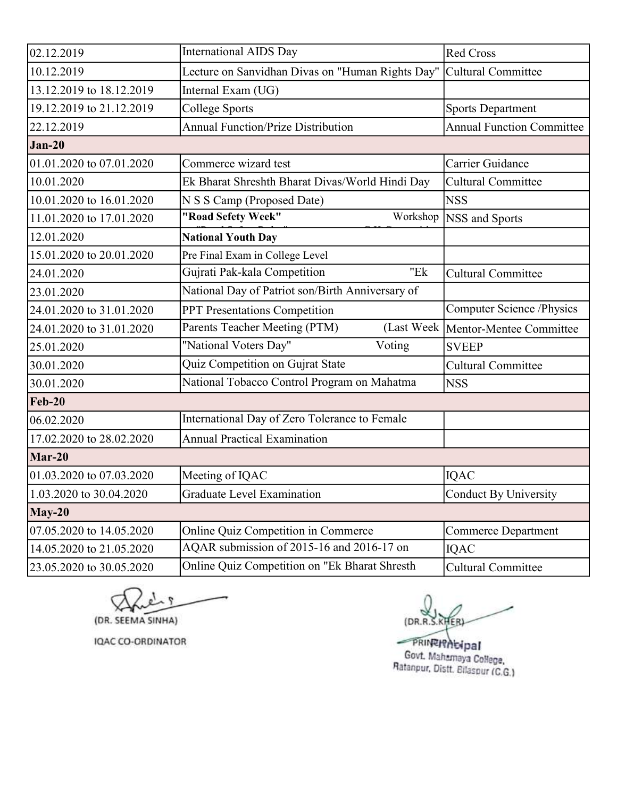| 02.12.2019               | <b>International AIDS Day</b>                    | <b>Red Cross</b>                     |
|--------------------------|--------------------------------------------------|--------------------------------------|
| 10.12.2019               | Lecture on Sanvidhan Divas on "Human Rights Day" | Cultural Committee                   |
| 13.12.2019 to 18.12.2019 | Internal Exam (UG)                               |                                      |
| 19.12.2019 to 21.12.2019 | <b>College Sports</b>                            | <b>Sports Department</b>             |
| 22.12.2019               | <b>Annual Function/Prize Distribution</b>        | <b>Annual Function Committee</b>     |
| $Jan-20$                 |                                                  |                                      |
| 01.01.2020 to 07.01.2020 | Commerce wizard test                             | Carrier Guidance                     |
| 10.01.2020               | Ek Bharat Shreshth Bharat Divas/World Hindi Day  | <b>Cultural Committee</b>            |
| 10.01.2020 to 16.01.2020 | N S S Camp (Proposed Date)                       | <b>NSS</b>                           |
| 11.01.2020 to 17.01.2020 | "Road Sefety Week"<br>Workshop                   | NSS and Sports                       |
| 12.01.2020               | <b>National Youth Day</b>                        |                                      |
| 15.01.2020 to 20.01.2020 | Pre Final Exam in College Level                  |                                      |
| 24.01.2020               | "Ek<br>Gujrati Pak-kala Competition              | <b>Cultural Committee</b>            |
| 23.01.2020               | National Day of Patriot son/Birth Anniversary of |                                      |
| 24.01.2020 to 31.01.2020 | PPT Presentations Competition                    | Computer Science /Physics            |
| 24.01.2020 to 31.01.2020 | Parents Teacher Meeting (PTM)                    | (Last Week   Mentor-Mentee Committee |
| 25.01.2020               | "National Voters Day"<br>Voting                  | <b>SVEEP</b>                         |
| 30.01.2020               | Quiz Competition on Gujrat State                 | <b>Cultural Committee</b>            |
| 30.01.2020               | National Tobacco Control Program on Mahatma      | <b>NSS</b>                           |
| <b>Feb-20</b>            |                                                  |                                      |
| 06.02.2020               | International Day of Zero Tolerance to Female    |                                      |
| 17.02.2020 to 28.02.2020 | <b>Annual Practical Examination</b>              |                                      |
| Mar-20                   |                                                  |                                      |
| 01.03.2020 to 07.03.2020 | Meeting of IQAC                                  | IQAC                                 |
| 1.03.2020 to 30.04.2020  | Graduate Level Examination                       | Conduct By University                |
| $May-20$                 |                                                  |                                      |
| 07.05.2020 to 14.05.2020 | Online Quiz Competition in Commerce              | <b>Commerce Department</b>           |
| 14.05.2020 to 21.05.2020 | AQAR submission of 2015-16 and 2016-17 on        | <b>IQAC</b>                          |
| 23.05.2020 to 30.05.2020 | Online Quiz Competition on "Ek Bharat Shresth    | <b>Cultural Committee</b>            |

(DR. SEEMA SINHA)

IQAC CO-ORDINATOR

(DR.R.S.KHER)

PRINTINGIPal Govt. Mahamaya College,<br>Ratanpur, Distt. Bilaspur (C.G.)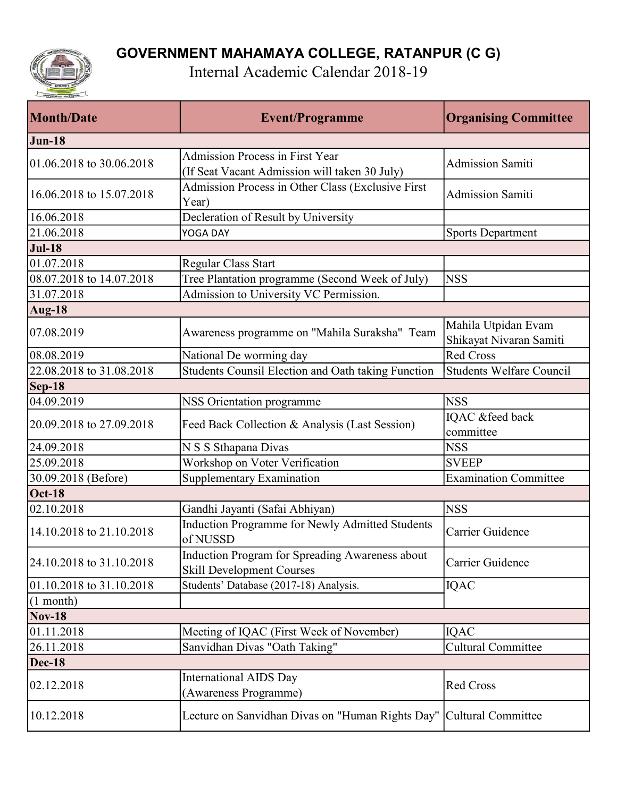

Internal Academic Calendar 2018-19

| <b>Month/Date</b>        | <b>Event/Programme</b>                                                                  | <b>Organising Committee</b>                    |
|--------------------------|-----------------------------------------------------------------------------------------|------------------------------------------------|
| <b>Jun-18</b>            |                                                                                         |                                                |
| 01.06.2018 to 30.06.2018 | <b>Admission Process in First Year</b><br>(If Seat Vacant Admission will taken 30 July) | <b>Admission Samiti</b>                        |
| 16.06.2018 to 15.07.2018 | Admission Process in Other Class (Exclusive First<br>Year)                              | <b>Admission Samiti</b>                        |
| 16.06.2018               | Decleration of Result by University                                                     |                                                |
| 21.06.2018               | YOGA DAY                                                                                | <b>Sports Department</b>                       |
| <b>Jul-18</b>            |                                                                                         |                                                |
| 01.07.2018               | Regular Class Start                                                                     |                                                |
| 08.07.2018 to 14.07.2018 | Tree Plantation programme (Second Week of July)                                         | <b>NSS</b>                                     |
| 31.07.2018               | Admission to University VC Permission.                                                  |                                                |
| <b>Aug-18</b>            |                                                                                         |                                                |
| 07.08.2019               | Awareness programme on "Mahila Suraksha" Team                                           | Mahila Utpidan Evam<br>Shikayat Nivaran Samiti |
| 08.08.2019               | National De worming day                                                                 | <b>Red Cross</b>                               |
| 22.08.2018 to 31.08.2018 | Students Counsil Election and Oath taking Function                                      | <b>Students Welfare Council</b>                |
| <b>Sep-18</b>            |                                                                                         |                                                |
| 04.09.2019               | NSS Orientation programme                                                               | <b>NSS</b>                                     |
| 20.09.2018 to 27.09.2018 | Feed Back Collection & Analysis (Last Session)                                          | IQAC &feed back<br>committee                   |
| 24.09.2018               | N S S Sthapana Divas                                                                    | <b>NSS</b>                                     |
| 25.09.2018               | Workshop on Voter Verification                                                          | <b>SVEEP</b>                                   |
| 30.09.2018 (Before)      | Supplementary Examination                                                               | <b>Examination Committee</b>                   |
| <b>Oct-18</b>            |                                                                                         |                                                |
| 02.10.2018               | Gandhi Jayanti (Safai Abhiyan)                                                          | <b>NSS</b>                                     |
| 14.10.2018 to 21.10.2018 | Induction Programme for Newly Admitted Students<br>of NUSSD                             | Carrier Guidence                               |
| 24.10.2018 to 31.10.2018 | Induction Program for Spreading Awareness about<br><b>Skill Development Courses</b>     | Carrier Guidence                               |
| 01.10.2018 to 31.10.2018 | Students' Database (2017-18) Analysis.                                                  | <b>IQAC</b>                                    |
| $(1$ month)              |                                                                                         |                                                |
| <b>Nov-18</b>            |                                                                                         |                                                |
| 01.11.2018               | Meeting of IQAC (First Week of November)                                                | <b>IQAC</b>                                    |
| 26.11.2018               | Sanvidhan Divas "Oath Taking"                                                           | <b>Cultural Committee</b>                      |
| <b>Dec-18</b>            |                                                                                         |                                                |
| 02.12.2018               | <b>International AIDS Day</b><br>(Awareness Programme)                                  | Red Cross                                      |
| 10.12.2018               | Lecture on Sanvidhan Divas on "Human Rights Day"                                        | Cultural Committee                             |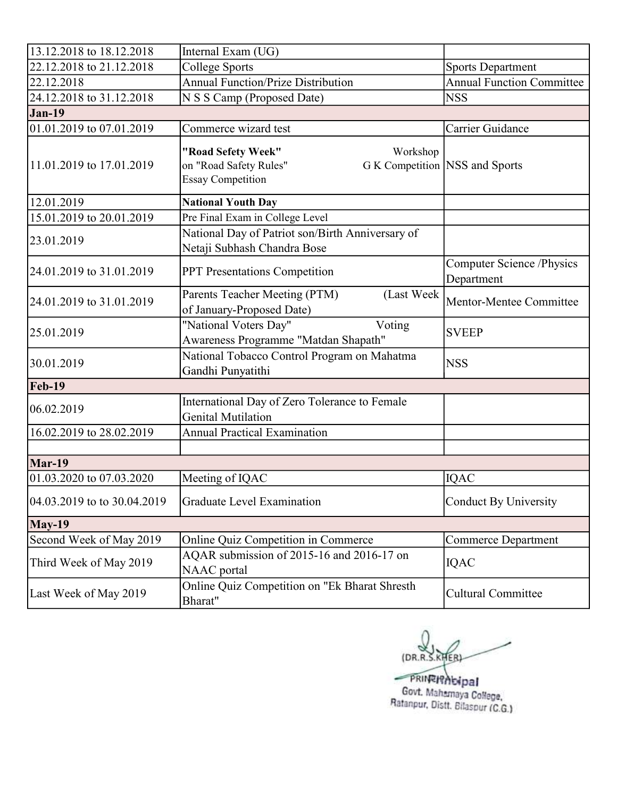| 13.12.2018 to 18.12.2018    | Internal Exam (UG)                                                                   |                                                |
|-----------------------------|--------------------------------------------------------------------------------------|------------------------------------------------|
| 22.12.2018 to 21.12.2018    | College Sports                                                                       | <b>Sports Department</b>                       |
| 22.12.2018                  | <b>Annual Function/Prize Distribution</b>                                            | <b>Annual Function Committee</b>               |
| 24.12.2018 to 31.12.2018    | N S S Camp (Proposed Date)                                                           | <b>NSS</b>                                     |
| <b>Jan-19</b>               |                                                                                      |                                                |
| 01.01.2019 to 07.01.2019    | Commerce wizard test                                                                 | Carrier Guidance                               |
| 11.01.2019 to 17.01.2019    | "Road Sefety Week"<br>Workshop<br>on "Road Safety Rules"<br><b>Essay Competition</b> | G K Competition NSS and Sports                 |
| 12.01.2019                  | <b>National Youth Day</b>                                                            |                                                |
| 15.01.2019 to 20.01.2019    | Pre Final Exam in College Level                                                      |                                                |
| 23.01.2019                  | National Day of Patriot son/Birth Anniversary of<br>Netaji Subhash Chandra Bose      |                                                |
| 24.01.2019 to 31.01.2019    | PPT Presentations Competition                                                        | <b>Computer Science /Physics</b><br>Department |
| 24.01.2019 to 31.01.2019    | (Last Week<br>Parents Teacher Meeting (PTM)<br>of January-Proposed Date)             | Mentor-Mentee Committee                        |
| 25.01.2019                  | "National Voters Day"<br>Voting<br>Awareness Programme "Matdan Shapath"              | <b>SVEEP</b>                                   |
| 30.01.2019                  | National Tobacco Control Program on Mahatma<br>Gandhi Punyatithi                     | <b>NSS</b>                                     |
| <b>Feb-19</b>               |                                                                                      |                                                |
| 06.02.2019                  | International Day of Zero Tolerance to Female<br><b>Genital Mutilation</b>           |                                                |
| 16.02.2019 to 28.02.2019    | <b>Annual Practical Examination</b>                                                  |                                                |
|                             |                                                                                      |                                                |
| Mar-19                      |                                                                                      |                                                |
| 01.03.2020 to 07.03.2020    | Meeting of IQAC                                                                      | <b>IQAC</b>                                    |
| 04.03.2019 to to 30.04.2019 | Graduate Level Examination                                                           | Conduct By University                          |
| <b>May-19</b>               |                                                                                      |                                                |
| Second Week of May 2019     | <b>Online Quiz Competition in Commerce</b>                                           | <b>Commerce Department</b>                     |
| Third Week of May 2019      | AQAR submission of 2015-16 and 2016-17 on<br><b>NAAC</b> portal                      | <b>IQAC</b>                                    |
| Last Week of May 2019       | Online Quiz Competition on "Ek Bharat Shresth<br>Bharat"                             | <b>Cultural Committee</b>                      |

(DR.R.S.KHER)

PRINTIP bipal<br>Govt. Mahamaya College,<br>Ratanpur, Distt. Bilaspur (C.G.)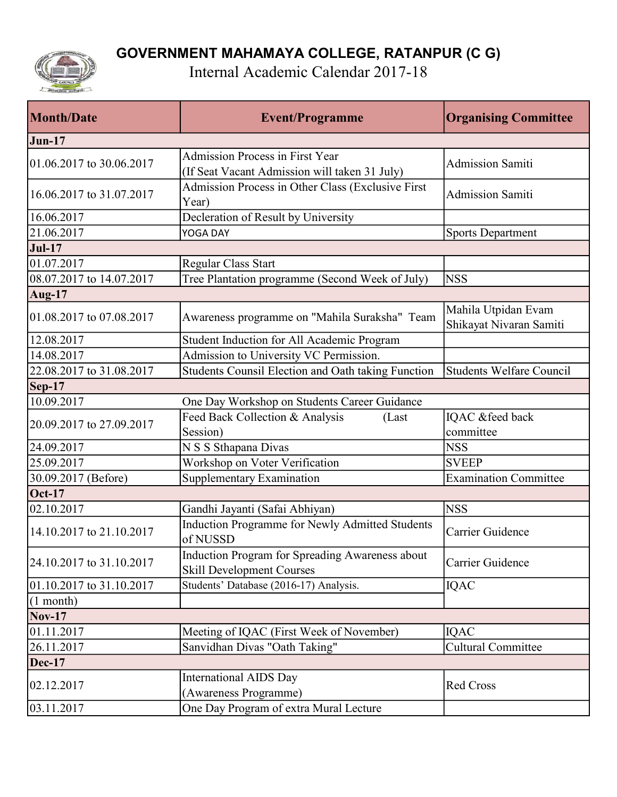

Internal Academic Calendar 2017-18

| <b>Month/Date</b>        | <b>Event/Programme</b>                                                                  | <b>Organising Committee</b>                    |
|--------------------------|-----------------------------------------------------------------------------------------|------------------------------------------------|
| <b>Jun-17</b>            |                                                                                         |                                                |
| 01.06.2017 to 30.06.2017 | <b>Admission Process in First Year</b><br>(If Seat Vacant Admission will taken 31 July) | <b>Admission Samiti</b>                        |
| 16.06.2017 to 31.07.2017 | Admission Process in Other Class (Exclusive First<br>Year)                              | <b>Admission Samiti</b>                        |
| 16.06.2017               | Decleration of Result by University                                                     |                                                |
| 21.06.2017               | YOGA DAY                                                                                | <b>Sports Department</b>                       |
| <b>Jul-17</b>            |                                                                                         |                                                |
| 01.07.2017               | Regular Class Start                                                                     |                                                |
| 08.07.2017 to 14.07.2017 | Tree Plantation programme (Second Week of July)                                         | <b>NSS</b>                                     |
| <b>Aug-17</b>            |                                                                                         |                                                |
| 01.08.2017 to 07.08.2017 | Awareness programme on "Mahila Suraksha" Team                                           | Mahila Utpidan Evam<br>Shikayat Nivaran Samiti |
| 12.08.2017               | Student Induction for All Academic Program                                              |                                                |
| 14.08.2017               | Admission to University VC Permission.                                                  |                                                |
| 22.08.2017 to 31.08.2017 | Students Counsil Election and Oath taking Function                                      | <b>Students Welfare Council</b>                |
| $Sep-17$                 |                                                                                         |                                                |
| 10.09.2017               | One Day Workshop on Students Career Guidance                                            |                                                |
| 20.09.2017 to 27.09.2017 | Feed Back Collection & Analysis<br>(Last)<br>Session)                                   | IQAC &feed back<br>committee                   |
| 24.09.2017               | N S S Sthapana Divas                                                                    | <b>NSS</b>                                     |
| 25.09.2017               | Workshop on Voter Verification                                                          | <b>SVEEP</b>                                   |
| 30.09.2017 (Before)      | Supplementary Examination                                                               | <b>Examination Committee</b>                   |
| <b>Oct-17</b>            |                                                                                         |                                                |
| 02.10.2017               | Gandhi Jayanti (Safai Abhiyan)                                                          | <b>NSS</b>                                     |
| 14.10.2017 to 21.10.2017 | Induction Programme for Newly Admitted Students<br>of NUSSD                             | Carrier Guidence                               |
| 24.10.2017 to 31.10.2017 | Induction Program for Spreading Awareness about<br><b>Skill Development Courses</b>     | Carrier Guidence                               |
| 01.10.2017 to 31.10.2017 | Students' Database (2016-17) Analysis.                                                  | <b>IQAC</b>                                    |
| $(1$ month)              |                                                                                         |                                                |
| $Nov-17$                 |                                                                                         |                                                |
| 01.11.2017               | Meeting of IQAC (First Week of November)                                                | <b>IQAC</b>                                    |
| 26.11.2017               | Sanvidhan Divas "Oath Taking"                                                           | <b>Cultural Committee</b>                      |
| Dec-17                   |                                                                                         |                                                |
| 02.12.2017               | <b>International AIDS Day</b><br>(Awareness Programme)                                  | Red Cross                                      |
| 03.11.2017               | One Day Program of extra Mural Lecture                                                  |                                                |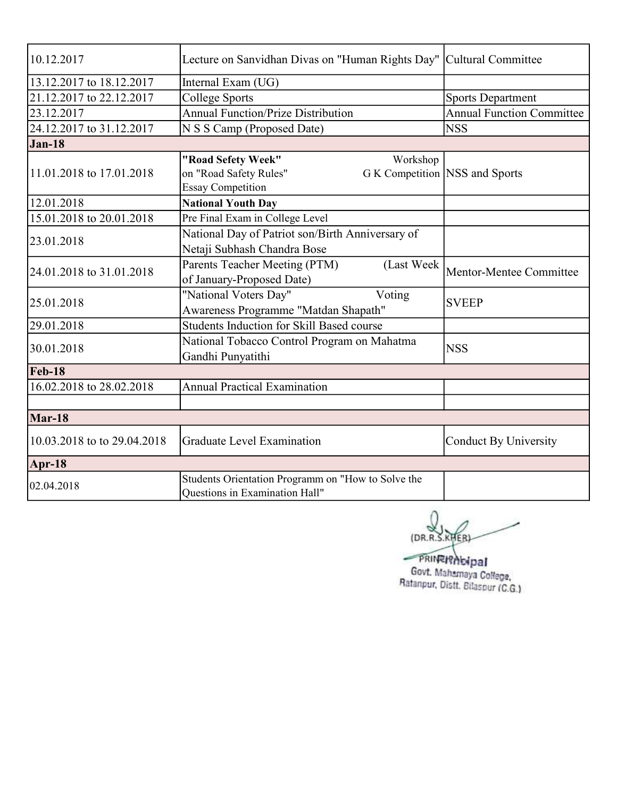| 10.12.2017                  | Lecture on Sanvidhan Divas on "Human Rights Day"   Cultural Committee |                                  |
|-----------------------------|-----------------------------------------------------------------------|----------------------------------|
| 13.12.2017 to 18.12.2017    | Internal Exam (UG)                                                    |                                  |
| 21.12.2017 to 22.12.2017    | <b>College Sports</b>                                                 | <b>Sports Department</b>         |
| 23.12.2017                  | <b>Annual Function/Prize Distribution</b>                             | <b>Annual Function Committee</b> |
| 24.12.2017 to 31.12.2017    | N S S Camp (Proposed Date)                                            | <b>NSS</b>                       |
| $Jan-18$                    |                                                                       |                                  |
|                             | "Road Sefety Week"<br>Workshop                                        |                                  |
| 11.01.2018 to 17.01.2018    | on "Road Safety Rules"<br>G K Competition NSS and Sports              |                                  |
|                             | <b>Essay Competition</b>                                              |                                  |
| 12.01.2018                  | <b>National Youth Day</b>                                             |                                  |
| 15.01.2018 to 20.01.2018    | Pre Final Exam in College Level                                       |                                  |
|                             | National Day of Patriot son/Birth Anniversary of                      |                                  |
| 23.01.2018                  | Netaji Subhash Chandra Bose                                           |                                  |
|                             | Parents Teacher Meeting (PTM)<br>(Last Week                           |                                  |
| 24.01.2018 to 31.01.2018    | of January-Proposed Date)                                             | Mentor-Mentee Committee          |
|                             | "National Voters Day"<br>Voting                                       |                                  |
| 25.01.2018                  | Awareness Programme "Matdan Shapath"                                  | <b>SVEEP</b>                     |
| 29.01.2018                  | Students Induction for Skill Based course                             |                                  |
|                             | National Tobacco Control Program on Mahatma                           |                                  |
| 30.01.2018                  | Gandhi Punyatithi                                                     | <b>NSS</b>                       |
| <b>Feb-18</b>               |                                                                       |                                  |
| 16.02.2018 to 28.02.2018    | <b>Annual Practical Examination</b>                                   |                                  |
|                             |                                                                       |                                  |
| Mar-18                      |                                                                       |                                  |
| 10.03.2018 to to 29.04.2018 | <b>Graduate Level Examination</b>                                     | <b>Conduct By University</b>     |
| Apr-18                      |                                                                       |                                  |
| 02.04.2018                  | Students Orientation Programm on "How to Solve the                    |                                  |
|                             | <b>Ouestions in Examination Hall"</b>                                 |                                  |

(DR.R.S.KHER)

PRINTINGHOLDEL Govt. Mahamaya College,<br>Ratanpur, Distt. Bilaspur (C.G.)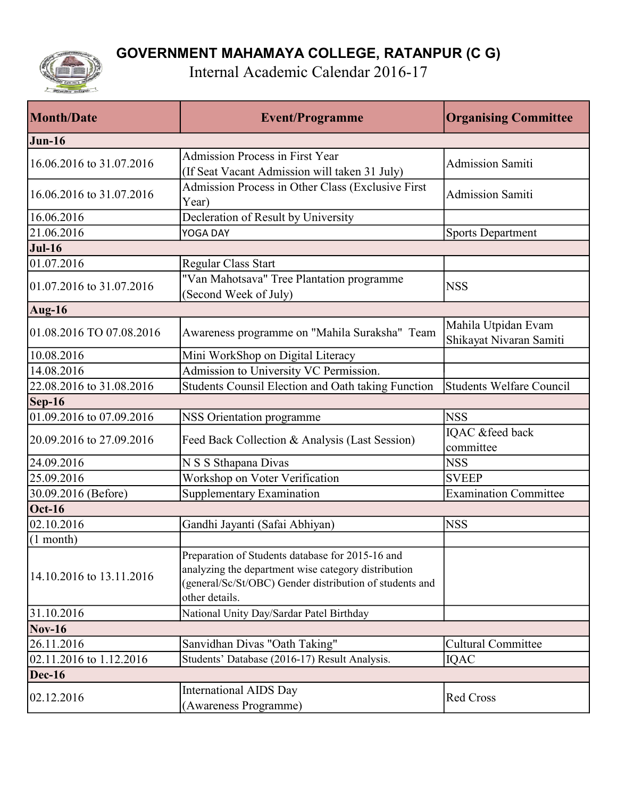

Internal Academic Calendar 2016-17

| <b>Month/Date</b>        | <b>Event/Programme</b>                                                                                                                                                               | <b>Organising Committee</b>                    |
|--------------------------|--------------------------------------------------------------------------------------------------------------------------------------------------------------------------------------|------------------------------------------------|
| $J$ un-16                |                                                                                                                                                                                      |                                                |
| 16.06.2016 to 31.07.2016 | <b>Admission Process in First Year</b><br>(If Seat Vacant Admission will taken 31 July)                                                                                              | <b>Admission Samiti</b>                        |
| 16.06.2016 to 31.07.2016 | Admission Process in Other Class (Exclusive First<br>Year)                                                                                                                           | <b>Admission Samiti</b>                        |
| 16.06.2016               | Decleration of Result by University                                                                                                                                                  |                                                |
| 21.06.2016               | YOGA DAY                                                                                                                                                                             | <b>Sports Department</b>                       |
| $Jul-16$                 |                                                                                                                                                                                      |                                                |
| 01.07.2016               | Regular Class Start                                                                                                                                                                  |                                                |
| 01.07.2016 to 31.07.2016 | "Van Mahotsava" Tree Plantation programme<br>(Second Week of July)                                                                                                                   | <b>NSS</b>                                     |
| <b>Aug-16</b>            |                                                                                                                                                                                      |                                                |
| 01.08.2016 TO 07.08.2016 | Awareness programme on "Mahila Suraksha" Team                                                                                                                                        | Mahila Utpidan Evam<br>Shikayat Nivaran Samiti |
| 10.08.2016               | Mini WorkShop on Digital Literacy                                                                                                                                                    |                                                |
| 14.08.2016               | Admission to University VC Permission.                                                                                                                                               |                                                |
| 22.08.2016 to 31.08.2016 | Students Counsil Election and Oath taking Function                                                                                                                                   | <b>Students Welfare Council</b>                |
| $\textsf{Sep-16}$        |                                                                                                                                                                                      |                                                |
| 01.09.2016 to 07.09.2016 | <b>NSS Orientation programme</b>                                                                                                                                                     | <b>NSS</b>                                     |
| 20.09.2016 to 27.09.2016 | Feed Back Collection & Analysis (Last Session)                                                                                                                                       | IQAC &feed back<br>committee                   |
| 24.09.2016               | N S S Sthapana Divas                                                                                                                                                                 | <b>NSS</b>                                     |
| 25.09.2016               | Workshop on Voter Verification                                                                                                                                                       | <b>SVEEP</b>                                   |
| 30.09.2016 (Before)      | Supplementary Examination                                                                                                                                                            | <b>Examination Committee</b>                   |
| $Oct-16$                 |                                                                                                                                                                                      |                                                |
| 02.10.2016               | Gandhi Jayanti (Safai Abhiyan)                                                                                                                                                       | <b>NSS</b>                                     |
| $(1$ month)              |                                                                                                                                                                                      |                                                |
| 14.10.2016 to 13.11.2016 | Preparation of Students database for 2015-16 and<br>analyzing the department wise category distribution<br>(general/Sc/St/OBC) Gender distribution of students and<br>other details. |                                                |
| 31.10.2016               | National Unity Day/Sardar Patel Birthday                                                                                                                                             |                                                |
| $Nov-16$                 |                                                                                                                                                                                      |                                                |
| 26.11.2016               | Sanvidhan Divas "Oath Taking"                                                                                                                                                        | <b>Cultural Committee</b>                      |
| 02.11.2016 to 1.12.2016  | Students' Database (2016-17) Result Analysis.                                                                                                                                        | <b>IQAC</b>                                    |
| <b>Dec-16</b>            |                                                                                                                                                                                      |                                                |
| 02.12.2016               | <b>International AIDS Day</b><br>(Awareness Programme)                                                                                                                               | Red Cross                                      |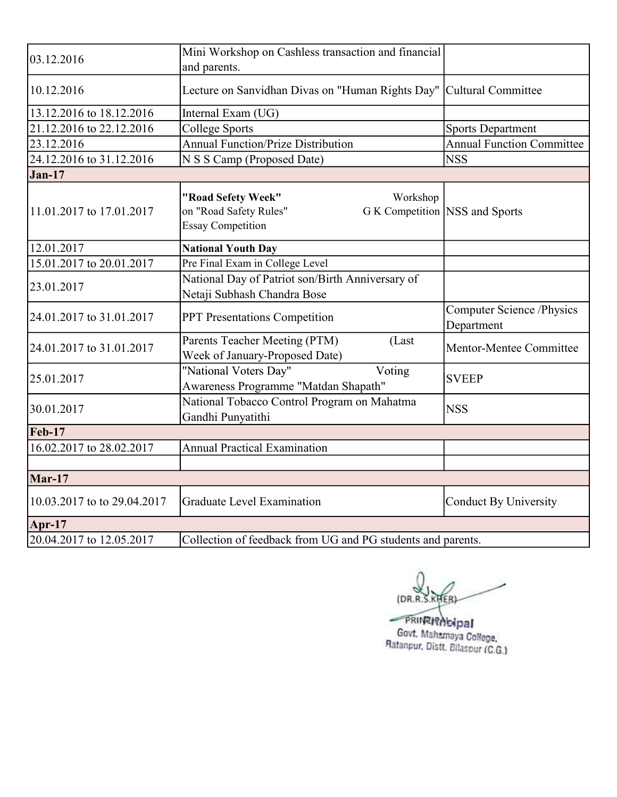| 03.12.2016                  | Mini Workshop on Cashless transaction and financial<br>and parents.                  |                                                |
|-----------------------------|--------------------------------------------------------------------------------------|------------------------------------------------|
| 10.12.2016                  | Lecture on Sanvidhan Divas on "Human Rights Day"   Cultural Committee                |                                                |
| 13.12.2016 to 18.12.2016    | Internal Exam (UG)                                                                   |                                                |
| 21.12.2016 to 22.12.2016    | <b>College Sports</b>                                                                | <b>Sports Department</b>                       |
| 23.12.2016                  | <b>Annual Function/Prize Distribution</b>                                            | <b>Annual Function Committee</b>               |
| 24.12.2016 to 31.12.2016    | N S S Camp (Proposed Date)                                                           | <b>NSS</b>                                     |
| $Jan-17$                    |                                                                                      |                                                |
| 11.01.2017 to 17.01.2017    | "Road Sefety Week"<br>Workshop<br>on "Road Safety Rules"<br><b>Essay Competition</b> | G K Competition NSS and Sports                 |
| 12.01.2017                  | <b>National Youth Day</b>                                                            |                                                |
| 15.01.2017 to 20.01.2017    | Pre Final Exam in College Level                                                      |                                                |
| 23.01.2017                  | National Day of Patriot son/Birth Anniversary of<br>Netaji Subhash Chandra Bose      |                                                |
| 24.01.2017 to 31.01.2017    | PPT Presentations Competition                                                        | <b>Computer Science /Physics</b><br>Department |
| 24.01.2017 to 31.01.2017    | Parents Teacher Meeting (PTM)<br>(Last<br>Week of January-Proposed Date)             | Mentor-Mentee Committee                        |
| 25.01.2017                  | "National Voters Day"<br>Voting<br>Awareness Programme "Matdan Shapath"              | <b>SVEEP</b>                                   |
| 30.01.2017                  | National Tobacco Control Program on Mahatma<br>Gandhi Punyatithi                     | <b>NSS</b>                                     |
| <b>Feb-17</b>               |                                                                                      |                                                |
| 16.02.2017 to 28.02.2017    | <b>Annual Practical Examination</b>                                                  |                                                |
|                             |                                                                                      |                                                |
| Mar-17                      |                                                                                      |                                                |
| 10.03.2017 to to 29.04.2017 | <b>Graduate Level Examination</b>                                                    | <b>Conduct By University</b>                   |
| Apr-17                      |                                                                                      |                                                |
| 20.04.2017 to 12.05.2017    | Collection of feedback from UG and PG students and parents.                          |                                                |

(DR.R.S.KHER)

FRINTINGIPal<br>Govt. Mahamaya College,<br>Ratanpur, Distt. Bilaspur (C.G.)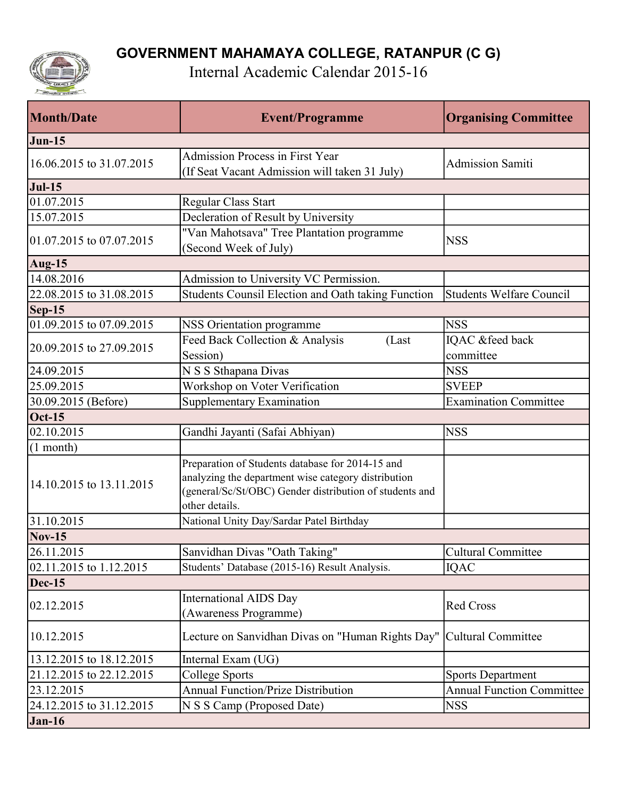

Internal Academic Calendar 2015-16

| <b>Month/Date</b>        | <b>Event/Programme</b>                                                                                                                                                               | <b>Organising Committee</b>      |
|--------------------------|--------------------------------------------------------------------------------------------------------------------------------------------------------------------------------------|----------------------------------|
| $Jun-15$                 |                                                                                                                                                                                      |                                  |
| 16.06.2015 to 31.07.2015 | <b>Admission Process in First Year</b><br>(If Seat Vacant Admission will taken 31 July)                                                                                              | <b>Admission Samiti</b>          |
| <b>Jul-15</b>            |                                                                                                                                                                                      |                                  |
| 01.07.2015               | Regular Class Start                                                                                                                                                                  |                                  |
| 15.07.2015               | Decleration of Result by University                                                                                                                                                  |                                  |
| 01.07.2015 to 07.07.2015 | "Van Mahotsava" Tree Plantation programme<br>(Second Week of July)                                                                                                                   | <b>NSS</b>                       |
| Aug-15                   |                                                                                                                                                                                      |                                  |
| 14.08.2016               | Admission to University VC Permission.                                                                                                                                               |                                  |
| 22.08.2015 to 31.08.2015 | Students Counsil Election and Oath taking Function                                                                                                                                   | Students Welfare Council         |
| $\textsf{Sep-15}$        |                                                                                                                                                                                      |                                  |
| 01.09.2015 to 07.09.2015 | NSS Orientation programme                                                                                                                                                            | <b>NSS</b>                       |
| 20.09.2015 to 27.09.2015 | Feed Back Collection & Analysis<br>(Last                                                                                                                                             | IQAC &feed back                  |
|                          | Session)                                                                                                                                                                             | committee                        |
| 24.09.2015               | N S S Sthapana Divas                                                                                                                                                                 | <b>NSS</b>                       |
| 25.09.2015               | Workshop on Voter Verification                                                                                                                                                       | <b>SVEEP</b>                     |
| 30.09.2015 (Before)      | Supplementary Examination                                                                                                                                                            | <b>Examination Committee</b>     |
| $Oct-15$                 |                                                                                                                                                                                      |                                  |
| 02.10.2015               | Gandhi Jayanti (Safai Abhiyan)                                                                                                                                                       | <b>NSS</b>                       |
| $(1$ month)              |                                                                                                                                                                                      |                                  |
| 14.10.2015 to 13.11.2015 | Preparation of Students database for 2014-15 and<br>analyzing the department wise category distribution<br>(general/Sc/St/OBC) Gender distribution of students and<br>other details. |                                  |
| 31.10.2015               | National Unity Day/Sardar Patel Birthday                                                                                                                                             |                                  |
| $Nov-15$                 |                                                                                                                                                                                      |                                  |
| 26.11.2015               | Sanvidhan Divas "Oath Taking"                                                                                                                                                        | Cultural Committee               |
| 02.11.2015 to 1.12.2015  | Students' Database (2015-16) Result Analysis.                                                                                                                                        | <b>IQAC</b>                      |
| $Dec-15$                 |                                                                                                                                                                                      |                                  |
| 02.12.2015               | <b>International AIDS Day</b><br>(Awareness Programme)                                                                                                                               | <b>Red Cross</b>                 |
| 10.12.2015               | Lecture on Sanvidhan Divas on "Human Rights Day"                                                                                                                                     | Cultural Committee               |
| 13.12.2015 to 18.12.2015 | Internal Exam (UG)                                                                                                                                                                   |                                  |
| 21.12.2015 to 22.12.2015 | College Sports                                                                                                                                                                       | <b>Sports Department</b>         |
| 23.12.2015               | <b>Annual Function/Prize Distribution</b>                                                                                                                                            | <b>Annual Function Committee</b> |
| 24.12.2015 to 31.12.2015 | N S S Camp (Proposed Date)                                                                                                                                                           | <b>NSS</b>                       |
| $Jan-16$                 |                                                                                                                                                                                      |                                  |